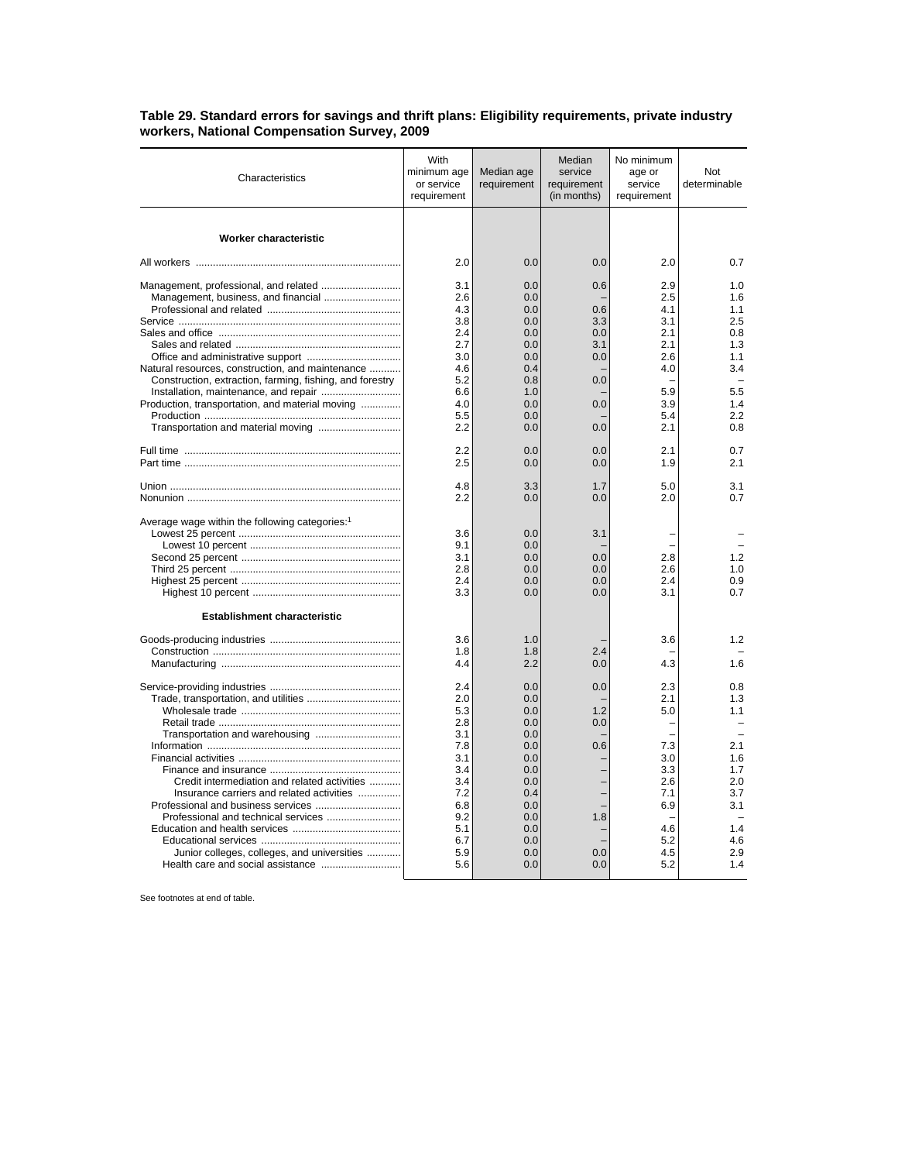| Characteristics                                                                                                                                                                                          | With<br>minimum age<br>or service<br>requirement                                                             | Median age<br>requirement                                                                                    | Median<br>service<br>requirement<br>(in months)                    | No minimum<br>age or<br>service<br>requirement                                                                      | Not<br>determinable                                                                                                 |
|----------------------------------------------------------------------------------------------------------------------------------------------------------------------------------------------------------|--------------------------------------------------------------------------------------------------------------|--------------------------------------------------------------------------------------------------------------|--------------------------------------------------------------------|---------------------------------------------------------------------------------------------------------------------|---------------------------------------------------------------------------------------------------------------------|
| <b>Worker characteristic</b>                                                                                                                                                                             |                                                                                                              |                                                                                                              |                                                                    |                                                                                                                     |                                                                                                                     |
|                                                                                                                                                                                                          | 2.0                                                                                                          | 0.0                                                                                                          | 0.0                                                                | 2.0                                                                                                                 | 0.7                                                                                                                 |
| Natural resources, construction, and maintenance<br>Construction, extraction, farming, fishing, and forestry<br>Installation, maintenance, and repair<br>Production, transportation, and material moving | 3.1<br>2.6<br>4.3<br>3.8<br>2.4<br>2.7<br>3.0<br>4.6<br>5.2<br>6.6<br>4.0<br>5.5<br>2.2<br>2.2               | 0.0<br>0.0<br>0.0<br>0.0<br>0.0<br>0.0<br>0.0<br>0.4<br>0.8<br>1.0<br>0.0<br>0.0<br>0.0<br>0.0               | 0.6<br>0.6<br>3.3<br>0.0<br>3.1<br>0.0<br>0.0<br>0.0<br>0.0<br>0.0 | 2.9<br>2.5<br>4.1<br>3.1<br>2.1<br>2.1<br>2.6<br>4.0<br>$\overline{\phantom{0}}$<br>5.9<br>3.9<br>5.4<br>2.1<br>2.1 | 1.0<br>1.6<br>1.1<br>2.5<br>0.8<br>1.3<br>1.1<br>3.4<br>$\overline{\phantom{a}}$<br>5.5<br>1.4<br>2.2<br>0.8<br>0.7 |
|                                                                                                                                                                                                          | 2.5                                                                                                          | 0.0                                                                                                          | 0.0                                                                | 1.9                                                                                                                 | 2.1                                                                                                                 |
|                                                                                                                                                                                                          | 4.8<br>2.2                                                                                                   | 3.3<br>0.0                                                                                                   | 1.7<br>0.0                                                         | 5.0<br>2.0                                                                                                          | 3.1<br>0.7                                                                                                          |
| Average wage within the following categories: <sup>1</sup><br><b>Establishment characteristic</b>                                                                                                        | 3.6<br>9.1<br>3.1<br>2.8<br>2.4<br>3.3                                                                       | 0.0<br>0.0<br>0.0<br>0.0<br>0.0<br>0.0                                                                       | 3.1<br>0.0<br>0.0<br>0.0<br>0.0                                    | 2.8<br>2.6<br>2.4<br>3.1                                                                                            | 1.2<br>1.0<br>0.9<br>0.7                                                                                            |
|                                                                                                                                                                                                          | 3.6<br>1.8<br>4.4                                                                                            | 1.0<br>1.8<br>2.2                                                                                            | 2.4<br>0.0                                                         | 3.6<br>4.3                                                                                                          | 1.2<br>1.6                                                                                                          |
| Credit intermediation and related activities<br>Insurance carriers and related activities<br>Junior colleges, colleges, and universities                                                                 | 2.4<br>2.0<br>5.3<br>2.8<br>3.1<br>7.8<br>3.1<br>3.4<br>3.4<br>7.2<br>6.8<br>9.2<br>5.1<br>6.7<br>5.9<br>5.6 | 0.0<br>0.0<br>0.0<br>0.0<br>0.0<br>0.0<br>0.0<br>0.0<br>0.0<br>0.4<br>0.0<br>0.0<br>0.0<br>0.0<br>0.0<br>0.0 | 0.0<br>1.2<br>0.0<br>0.6<br>1.8<br>0.0<br>0.0                      | 2.3<br>2.1<br>5.0<br>7.3<br>3.0<br>3.3<br>2.6<br>7.1<br>6.9<br>4.6<br>5.2<br>4.5<br>5.2                             | 0.8<br>1.3<br>1.1<br>2.1<br>1.6<br>1.7<br>2.0<br>3.7<br>3.1<br>1.4<br>4.6<br>2.9<br>1.4                             |

## **Table 29. Standard errors for savings and thrift plans: Eligibility requirements, private industry workers, National Compensation Survey, 2009**

See footnotes at end of table.